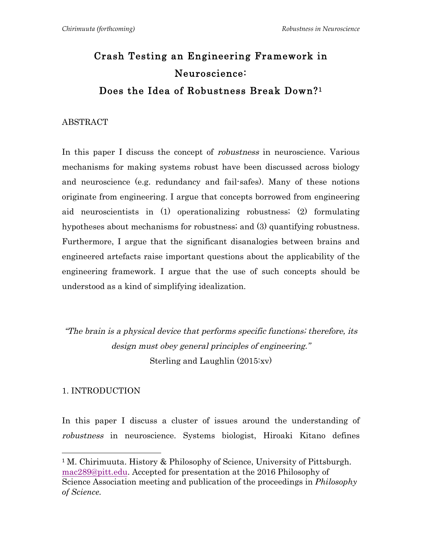# Crash Testing an Engineering Framework in Neuroscience: Does the Idea of Robustness Break Down?1

#### ABSTRACT

In this paper I discuss the concept of robustness in neuroscience. Various mechanisms for making systems robust have been discussed across biology and neuroscience (e.g. redundancy and fail-safes). Many of these notions originate from engineering. I argue that concepts borrowed from engineering aid neuroscientists in (1) operationalizing robustness; (2) formulating hypotheses about mechanisms for robustness; and (3) quantifying robustness. Furthermore, I argue that the significant disanalogies between brains and engineered artefacts raise important questions about the applicability of the engineering framework. I argue that the use of such concepts should be understood as a kind of simplifying idealization.

"The brain is a physical device that performs specific functions; therefore, its design must obey general principles of engineering." Sterling and Laughlin (2015:xv)

## 1. INTRODUCTION

 

In this paper I discuss a cluster of issues around the understanding of robustness in neuroscience. Systems biologist, Hiroaki Kitano defines

<sup>&</sup>lt;sup>1</sup> M. Chirimuuta. History & Philosophy of Science, University of Pittsburgh. mac289@pitt.edu. Accepted for presentation at the 2016 Philosophy of Science Association meeting and publication of the proceedings in *Philosophy of Science.*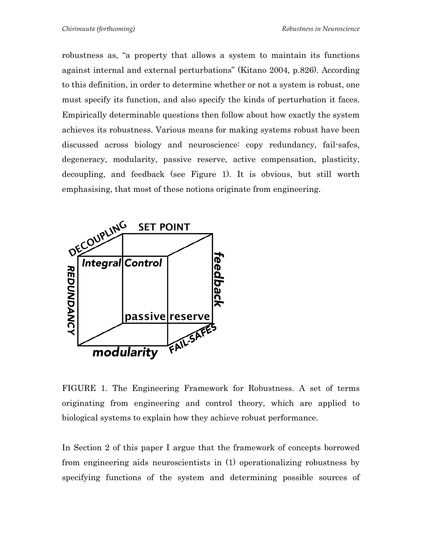robustness as, "a property that allows a system to maintain its functions against internal and external perturbations" (Kitano 2004, p.826). According to this definition, in order to determine whether or not a system is robust, one must specify its function, and also specify the kinds of perturbation it faces. Empirically determinable questions then follow about how exactly the system achieves its robustness. Various means for making systems robust have been discussed across biology and neuroscience: copy redundancy, fail-safes, degeneracy, modularity, passive reserve, active compensation, plasticity, decoupling, and feedback (see Figure 1). It is obvious, but still worth emphasising, that most of these notions originate from engineering.



FIGURE 1. The Engineering Framework for Robustness. A set of terms originating from engineering and control theory, which are applied to biological systems to explain how they achieve robust performance.

In Section 2 of this paper I argue that the framework of concepts borrowed from engineering aids neuroscientists in (1) operationalizing robustness by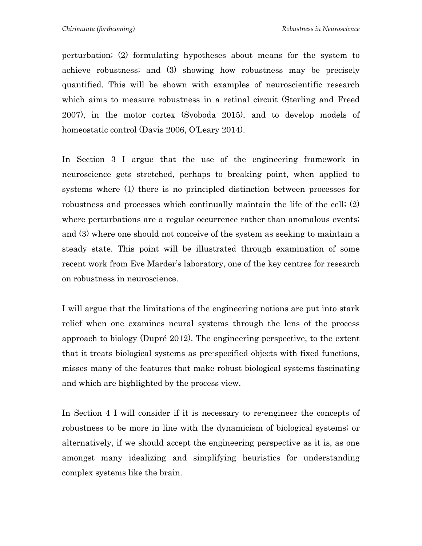perturbation; (2) formulating hypotheses about means for the system to achieve robustness; and (3) showing how robustness may be precisely quantified. This will be shown with examples of neuroscientific research which aims to measure robustness in a retinal circuit (Sterling and Freed 2007), in the motor cortex (Svoboda 2015), and to develop models of homeostatic control (Davis 2006, O'Leary 2014).

In Section 3 I argue that the use of the engineering framework in neuroscience gets stretched, perhaps to breaking point, when applied to systems where (1) there is no principled distinction between processes for robustness and processes which continually maintain the life of the cell; (2) where perturbations are a regular occurrence rather than anomalous events; and (3) where one should not conceive of the system as seeking to maintain a steady state. This point will be illustrated through examination of some recent work from Eve Marder's laboratory, one of the key centres for research on robustness in neuroscience.

I will argue that the limitations of the engineering notions are put into stark relief when one examines neural systems through the lens of the process approach to biology (Dupré 2012). The engineering perspective, to the extent that it treats biological systems as pre-specified objects with fixed functions, misses many of the features that make robust biological systems fascinating and which are highlighted by the process view.

In Section 4 I will consider if it is necessary to re-engineer the concepts of robustness to be more in line with the dynamicism of biological systems; or alternatively, if we should accept the engineering perspective as it is, as one amongst many idealizing and simplifying heuristics for understanding complex systems like the brain.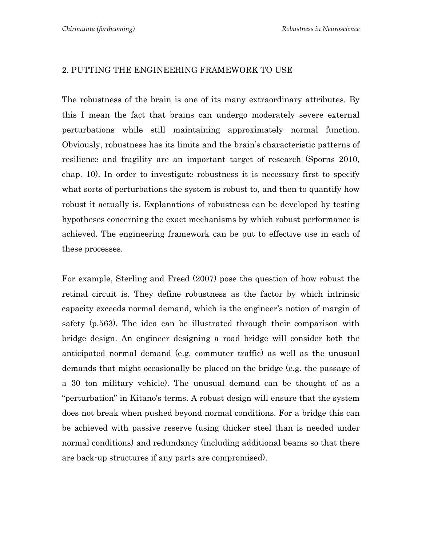#### 2. PUTTING THE ENGINEERING FRAMEWORK TO USE

The robustness of the brain is one of its many extraordinary attributes. By this I mean the fact that brains can undergo moderately severe external perturbations while still maintaining approximately normal function. Obviously, robustness has its limits and the brain's characteristic patterns of resilience and fragility are an important target of research (Sporns 2010, chap. 10). In order to investigate robustness it is necessary first to specify what sorts of perturbations the system is robust to, and then to quantify how robust it actually is. Explanations of robustness can be developed by testing hypotheses concerning the exact mechanisms by which robust performance is achieved. The engineering framework can be put to effective use in each of these processes.

For example, Sterling and Freed (2007) pose the question of how robust the retinal circuit is. They define robustness as the factor by which intrinsic capacity exceeds normal demand, which is the engineer's notion of margin of safety (p.563). The idea can be illustrated through their comparison with bridge design. An engineer designing a road bridge will consider both the anticipated normal demand (e.g. commuter traffic) as well as the unusual demands that might occasionally be placed on the bridge (e.g. the passage of a 30 ton military vehicle). The unusual demand can be thought of as a "perturbation" in Kitano's terms. A robust design will ensure that the system does not break when pushed beyond normal conditions. For a bridge this can be achieved with passive reserve (using thicker steel than is needed under normal conditions) and redundancy (including additional beams so that there are back-up structures if any parts are compromised).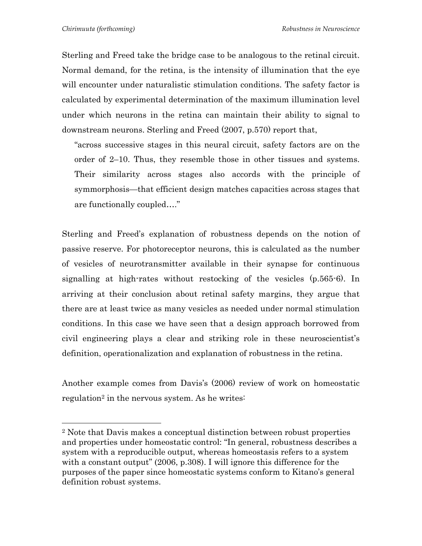Sterling and Freed take the bridge case to be analogous to the retinal circuit. Normal demand, for the retina, is the intensity of illumination that the eye will encounter under naturalistic stimulation conditions. The safety factor is calculated by experimental determination of the maximum illumination level under which neurons in the retina can maintain their ability to signal to downstream neurons. Sterling and Freed (2007, p.570) report that,

"across successive stages in this neural circuit, safety factors are on the order of 2–10. Thus, they resemble those in other tissues and systems. Their similarity across stages also accords with the principle of symmorphosis—that efficient design matches capacities across stages that are functionally coupled…."

Sterling and Freed's explanation of robustness depends on the notion of passive reserve. For photoreceptor neurons, this is calculated as the number of vesicles of neurotransmitter available in their synapse for continuous signalling at high-rates without restocking of the vesicles (p.565-6). In arriving at their conclusion about retinal safety margins, they argue that there are at least twice as many vesicles as needed under normal stimulation conditions. In this case we have seen that a design approach borrowed from civil engineering plays a clear and striking role in these neuroscientist's definition, operationalization and explanation of robustness in the retina.

Another example comes from Davis's (2006) review of work on homeostatic regulation<sup>2</sup> in the nervous system. As he writes:

<sup>2</sup> Note that Davis makes a conceptual distinction between robust properties and properties under homeostatic control: "In general, robustness describes a system with a reproducible output, whereas homeostasis refers to a system with a constant output" (2006, p.308). I will ignore this difference for the purposes of the paper since homeostatic systems conform to Kitano's general definition robust systems.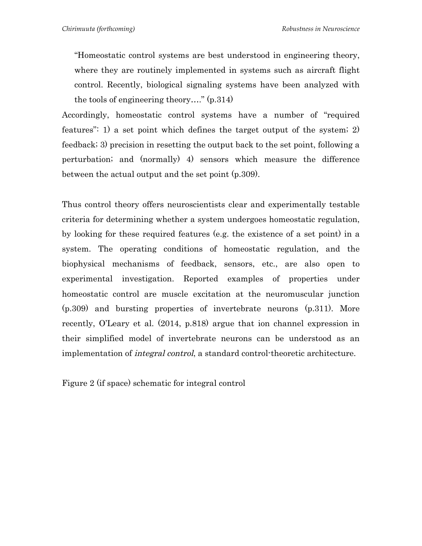"Homeostatic control systems are best understood in engineering theory, where they are routinely implemented in systems such as aircraft flight control. Recently, biological signaling systems have been analyzed with the tools of engineering theory…." (p.314)

Accordingly, homeostatic control systems have a number of "required features": 1) a set point which defines the target output of the system; 2) feedback; 3) precision in resetting the output back to the set point, following a perturbation; and (normally) 4) sensors which measure the difference between the actual output and the set point (p.309).

Thus control theory offers neuroscientists clear and experimentally testable criteria for determining whether a system undergoes homeostatic regulation, by looking for these required features (e.g. the existence of a set point) in a system. The operating conditions of homeostatic regulation, and the biophysical mechanisms of feedback, sensors, etc., are also open to experimental investigation. Reported examples of properties under homeostatic control are muscle excitation at the neuromuscular junction (p.309) and bursting properties of invertebrate neurons (p.311). More recently, O'Leary et al. (2014, p.818) argue that ion channel expression in their simplified model of invertebrate neurons can be understood as an implementation of integral control, a standard control-theoretic architecture.

Figure 2 (if space) schematic for integral control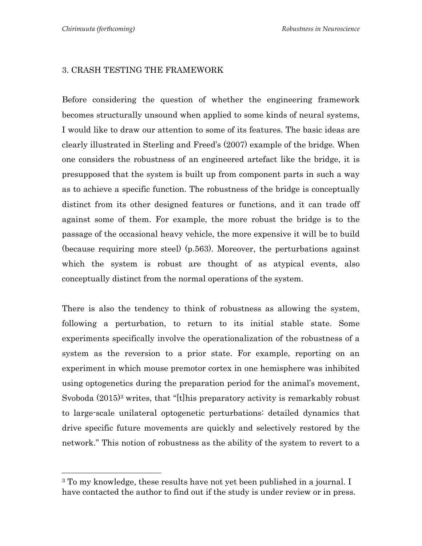#### 3. CRASH TESTING THE FRAMEWORK

Before considering the question of whether the engineering framework becomes structurally unsound when applied to some kinds of neural systems, I would like to draw our attention to some of its features. The basic ideas are clearly illustrated in Sterling and Freed's (2007) example of the bridge. When one considers the robustness of an engineered artefact like the bridge, it is presupposed that the system is built up from component parts in such a way as to achieve a specific function. The robustness of the bridge is conceptually distinct from its other designed features or functions, and it can trade off against some of them. For example, the more robust the bridge is to the passage of the occasional heavy vehicle, the more expensive it will be to build (because requiring more steel) (p.563). Moreover, the perturbations against which the system is robust are thought of as atypical events, also conceptually distinct from the normal operations of the system.

There is also the tendency to think of robustness as allowing the system, following a perturbation, to return to its initial stable state. Some experiments specifically involve the operationalization of the robustness of a system as the reversion to a prior state. For example, reporting on an experiment in which mouse premotor cortex in one hemisphere was inhibited using optogenetics during the preparation period for the animal's movement, Svoboda (2015)3 writes, that "[t]his preparatory activity is remarkably robust to large-scale unilateral optogenetic perturbations: detailed dynamics that drive specific future movements are quickly and selectively restored by the network." This notion of robustness as the ability of the system to revert to a

 

<sup>&</sup>lt;sup>3</sup> To my knowledge, these results have not yet been published in a journal. I have contacted the author to find out if the study is under review or in press.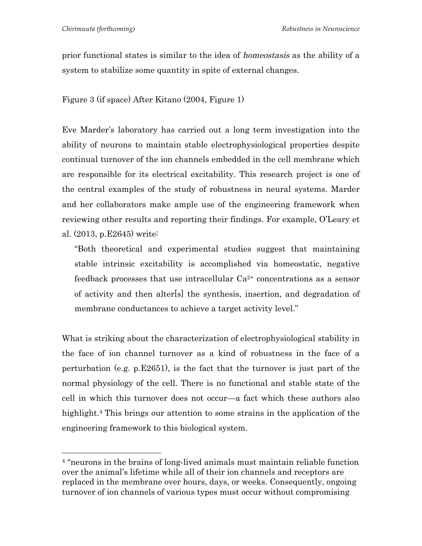prior functional states is similar to the idea of homeostasis as the ability of a system to stabilize some quantity in spite of external changes.

Figure 3 (if space) After Kitano (2004, Figure 1)

Eve Marder's laboratory has carried out a long term investigation into the ability of neurons to maintain stable electrophysiological properties despite continual turnover of the ion channels embedded in the cell membrane which are responsible for its electrical excitability. This research project is one of the central examples of the study of robustness in neural systems. Marder and her collaborators make ample use of the engineering framework when reviewing other results and reporting their findings. For example, O'Leary et al. (2013, p.E2645) write:

"Both theoretical and experimental studies suggest that maintaining stable intrinsic excitability is accomplished via homeostatic, negative feedback processes that use intracellular Ca2+ concentrations as a sensor of activity and then alter[s] the synthesis, insertion, and degradation of membrane conductances to achieve a target activity level."

What is striking about the characterization of electrophysiological stability in the face of ion channel turnover as a kind of robustness in the face of a perturbation (e.g. p.E2651), is the fact that the turnover is just part of the normal physiology of the cell. There is no functional and stable state of the cell in which this turnover does not occur—a fact which these authors also highlight.<sup>4</sup> This brings our attention to some strains in the application of the engineering framework to this biological system.

<sup>4</sup> "neurons in the brains of long-lived animals must maintain reliable function over the animal's lifetime while all of their ion channels and receptors are replaced in the membrane over hours, days, or weeks. Consequently, ongoing turnover of ion channels of various types must occur without compromising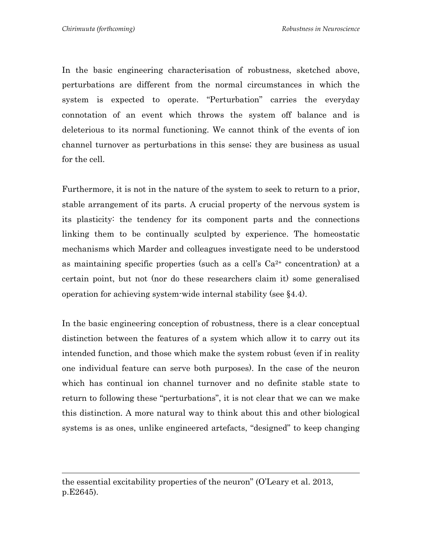In the basic engineering characterisation of robustness, sketched above, perturbations are different from the normal circumstances in which the system is expected to operate. "Perturbation" carries the everyday connotation of an event which throws the system off balance and is deleterious to its normal functioning. We cannot think of the events of ion channel turnover as perturbations in this sense; they are business as usual for the cell.

Furthermore, it is not in the nature of the system to seek to return to a prior, stable arrangement of its parts. A crucial property of the nervous system is its plasticity: the tendency for its component parts and the connections linking them to be continually sculpted by experience. The homeostatic mechanisms which Marder and colleagues investigate need to be understood as maintaining specific properties (such as a cell's  $Ca<sup>2+</sup>$  concentration) at a certain point, but not (nor do these researchers claim it) some generalised operation for achieving system-wide internal stability (see §4.4).

In the basic engineering conception of robustness, there is a clear conceptual distinction between the features of a system which allow it to carry out its intended function, and those which make the system robust (even if in reality one individual feature can serve both purposes). In the case of the neuron which has continual ion channel turnover and no definite stable state to return to following these "perturbations", it is not clear that we can we make this distinction. A more natural way to think about this and other biological systems is as ones, unlike engineered artefacts, "designed" to keep changing

the essential excitability properties of the neuron" (O'Leary et al. 2013, p.E2645).

<u> 1989 - Andrea San Andrea San Andrea San Andrea San Andrea San Andrea San Andrea San Andrea San Andrea San An</u>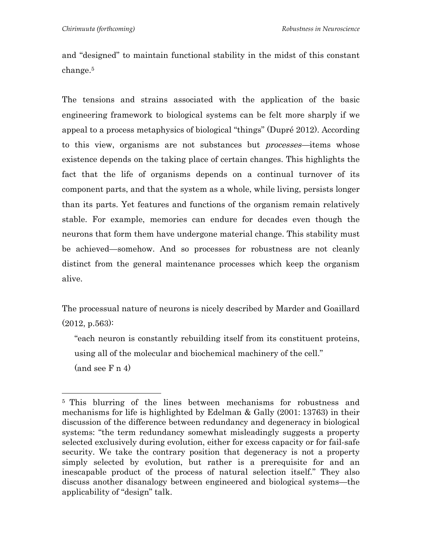and "designed" to maintain functional stability in the midst of this constant change.5

The tensions and strains associated with the application of the basic engineering framework to biological systems can be felt more sharply if we appeal to a process metaphysics of biological "things" (Dupré 2012). According to this view, organisms are not substances but *processes*—items whose existence depends on the taking place of certain changes. This highlights the fact that the life of organisms depends on a continual turnover of its component parts, and that the system as a whole, while living, persists longer than its parts. Yet features and functions of the organism remain relatively stable. For example, memories can endure for decades even though the neurons that form them have undergone material change. This stability must be achieved—somehow. And so processes for robustness are not cleanly distinct from the general maintenance processes which keep the organism alive.

The processual nature of neurons is nicely described by Marder and Goaillard  $(2012, p.563)$ :

"each neuron is constantly rebuilding itself from its constituent proteins, using all of the molecular and biochemical machinery of the cell."  $(and see F n 4)$ 

<sup>5</sup> This blurring of the lines between mechanisms for robustness and mechanisms for life is highlighted by Edelman & Gally (2001: 13763) in their discussion of the difference between redundancy and degeneracy in biological systems: "the term redundancy somewhat misleadingly suggests a property selected exclusively during evolution, either for excess capacity or for fail-safe security. We take the contrary position that degeneracy is not a property simply selected by evolution, but rather is a prerequisite for and an inescapable product of the process of natural selection itself." They also discuss another disanalogy between engineered and biological systems—the applicability of "design" talk.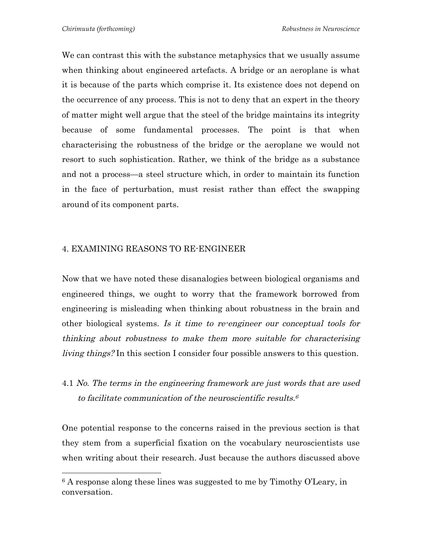We can contrast this with the substance metaphysics that we usually assume when thinking about engineered artefacts. A bridge or an aeroplane is what it is because of the parts which comprise it. Its existence does not depend on the occurrence of any process. This is not to deny that an expert in the theory of matter might well argue that the steel of the bridge maintains its integrity because of some fundamental processes. The point is that when characterising the robustness of the bridge or the aeroplane we would not resort to such sophistication. Rather, we think of the bridge as a substance and not a process—a steel structure which, in order to maintain its function in the face of perturbation, must resist rather than effect the swapping around of its component parts.

## 4. EXAMINING REASONS TO RE-ENGINEER

 

Now that we have noted these disanalogies between biological organisms and engineered things, we ought to worry that the framework borrowed from engineering is misleading when thinking about robustness in the brain and other biological systems. Is it time to re-engineer our conceptual tools for thinking about robustness to make them more suitable for characterising living things? In this section I consider four possible answers to this question.

4.1 No. The terms in the engineering framework are just words that are used to facilitate communication of the neuroscientific results.<sup>6</sup>

One potential response to the concerns raised in the previous section is that they stem from a superficial fixation on the vocabulary neuroscientists use when writing about their research. Just because the authors discussed above

<sup>6</sup> A response along these lines was suggested to me by Timothy O'Leary, in conversation.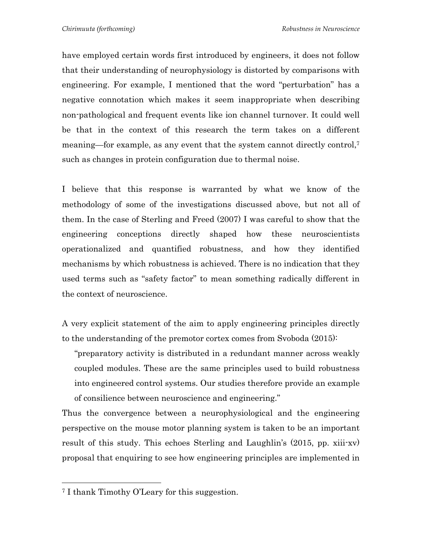have employed certain words first introduced by engineers, it does not follow that their understanding of neurophysiology is distorted by comparisons with engineering. For example, I mentioned that the word "perturbation" has a negative connotation which makes it seem inappropriate when describing non-pathological and frequent events like ion channel turnover. It could well be that in the context of this research the term takes on a different meaning—for example, as any event that the system cannot directly control,7 such as changes in protein configuration due to thermal noise.

I believe that this response is warranted by what we know of the methodology of some of the investigations discussed above, but not all of them. In the case of Sterling and Freed (2007) I was careful to show that the engineering conceptions directly shaped how these neuroscientists operationalized and quantified robustness, and how they identified mechanisms by which robustness is achieved. There is no indication that they used terms such as "safety factor" to mean something radically different in the context of neuroscience.

A very explicit statement of the aim to apply engineering principles directly to the understanding of the premotor cortex comes from Svoboda (2015):

"preparatory activity is distributed in a redundant manner across weakly coupled modules. These are the same principles used to build robustness into engineered control systems. Our studies therefore provide an example of consilience between neuroscience and engineering."

Thus the convergence between a neurophysiological and the engineering perspective on the mouse motor planning system is taken to be an important result of this study. This echoes Sterling and Laughlin's (2015, pp. xiii-xv) proposal that enquiring to see how engineering principles are implemented in

 

<sup>7</sup> I thank Timothy O'Leary for this suggestion.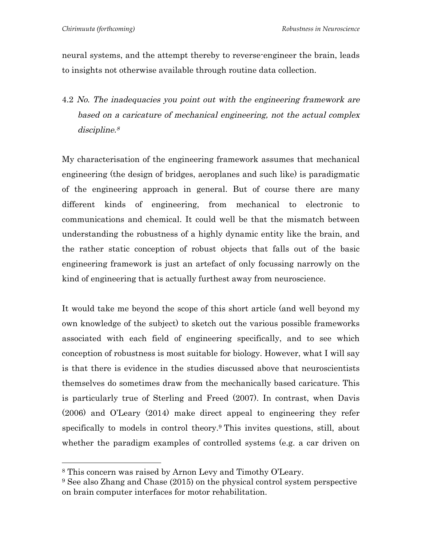neural systems, and the attempt thereby to reverse-engineer the brain, leads to insights not otherwise available through routine data collection.

4.2 No. The inadequacies you point out with the engineering framework are based on a caricature of mechanical engineering, not the actual complex discipline.<sup>8</sup>

My characterisation of the engineering framework assumes that mechanical engineering (the design of bridges, aeroplanes and such like) is paradigmatic of the engineering approach in general. But of course there are many different kinds of engineering, from mechanical to electronic to communications and chemical. It could well be that the mismatch between understanding the robustness of a highly dynamic entity like the brain, and the rather static conception of robust objects that falls out of the basic engineering framework is just an artefact of only focussing narrowly on the kind of engineering that is actually furthest away from neuroscience.

It would take me beyond the scope of this short article (and well beyond my own knowledge of the subject) to sketch out the various possible frameworks associated with each field of engineering specifically, and to see which conception of robustness is most suitable for biology. However, what I will say is that there is evidence in the studies discussed above that neuroscientists themselves do sometimes draw from the mechanically based caricature. This is particularly true of Sterling and Freed (2007). In contrast, when Davis (2006) and O'Leary (2014) make direct appeal to engineering they refer specifically to models in control theory.9 This invites questions, still, about whether the paradigm examples of controlled systems (e.g. a car driven on

 

<sup>8</sup> This concern was raised by Arnon Levy and Timothy O'Leary.

<sup>9</sup> See also Zhang and Chase (2015) on the physical control system perspective on brain computer interfaces for motor rehabilitation.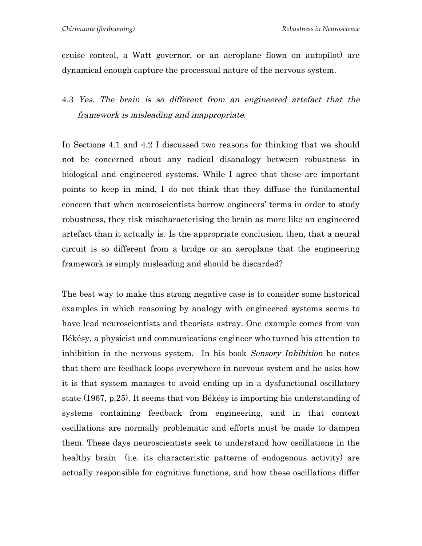cruise control, a Watt governor, or an aeroplane flown on autopilot) are dynamical enough capture the processual nature of the nervous system.

4.3 Yes. The brain is so different from an engineered artefact that the framework is misleading and inappropriate.

In Sections 4.1 and 4.2 I discussed two reasons for thinking that we should not be concerned about any radical disanalogy between robustness in biological and engineered systems. While I agree that these are important points to keep in mind, I do not think that they diffuse the fundamental concern that when neuroscientists borrow engineers' terms in order to study robustness, they risk mischaracterising the brain as more like an engineered artefact than it actually is. Is the appropriate conclusion, then, that a neural circuit is so different from a bridge or an aeroplane that the engineering framework is simply misleading and should be discarded?

The best way to make this strong negative case is to consider some historical examples in which reasoning by analogy with engineered systems seems to have lead neuroscientists and theorists astray. One example comes from von Békésy, a physicist and communications engineer who turned his attention to inhibition in the nervous system. In his book Sensory Inhibition he notes that there are feedback loops everywhere in nervous system and he asks how it is that system manages to avoid ending up in a dysfunctional oscillatory state (1967, p.25). It seems that von Békésy is importing his understanding of systems containing feedback from engineering, and in that context oscillations are normally problematic and efforts must be made to dampen them. These days neuroscientists seek to understand how oscillations in the healthy brain (i.e. its characteristic patterns of endogenous activity) are actually responsible for cognitive functions, and how these oscillations differ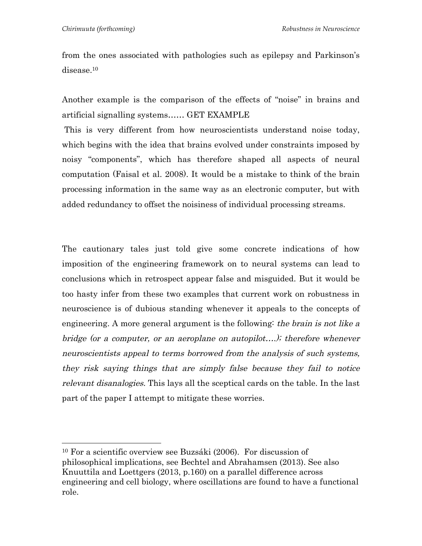from the ones associated with pathologies such as epilepsy and Parkinson's disease.10

Another example is the comparison of the effects of "noise" in brains and artificial signalling systems…… GET EXAMPLE

This is very different from how neuroscientists understand noise today, which begins with the idea that brains evolved under constraints imposed by noisy "components", which has therefore shaped all aspects of neural computation (Faisal et al. 2008). It would be a mistake to think of the brain processing information in the same way as an electronic computer, but with added redundancy to offset the noisiness of individual processing streams.

The cautionary tales just told give some concrete indications of how imposition of the engineering framework on to neural systems can lead to conclusions which in retrospect appear false and misguided. But it would be too hasty infer from these two examples that current work on robustness in neuroscience is of dubious standing whenever it appeals to the concepts of engineering. A more general argument is the following: the brain is not like a bridge (or a computer, or an aeroplane on autopilot….); therefore whenever neuroscientists appeal to terms borrowed from the analysis of such systems, they risk saying things that are simply false because they fail to notice relevant disanalogies. This lays all the sceptical cards on the table. In the last part of the paper I attempt to mitigate these worries.

<sup>10</sup> For a scientific overview see Buzsáki (2006). For discussion of philosophical implications, see Bechtel and Abrahamsen (2013). See also Knuuttila and Loettgers (2013, p.160) on a parallel difference across engineering and cell biology, where oscillations are found to have a functional role.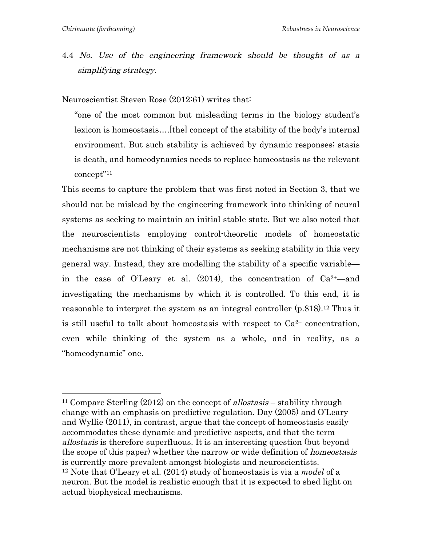4.4 No. Use of the engineering framework should be thought of as a simplifying strategy.

Neuroscientist Steven Rose (2012:61) writes that:

"one of the most common but misleading terms in the biology student's lexicon is homeostasis….[the] concept of the stability of the body's internal environment. But such stability is achieved by dynamic responses; stasis is death, and homeodynamics needs to replace homeostasis as the relevant concept"11

This seems to capture the problem that was first noted in Section 3, that we should not be mislead by the engineering framework into thinking of neural systems as seeking to maintain an initial stable state. But we also noted that the neuroscientists employing control-theoretic models of homeostatic mechanisms are not thinking of their systems as seeking stability in this very general way. Instead, they are modelling the stability of a specific variable in the case of O'Leary et al.  $(2014)$ , the concentration of  $Ca^{2+}$ —and investigating the mechanisms by which it is controlled. To this end, it is reasonable to interpret the system as an integral controller (p.818).12 Thus it is still useful to talk about homeostasis with respect to  $Ca^{2+}$  concentration, even while thinking of the system as a whole, and in reality, as a "homeodynamic" one.

<sup>&</sup>lt;sup>11</sup> Compare Sterling  $(2012)$  on the concept of allostasis – stability through change with an emphasis on predictive regulation. Day (2005) and O'Leary and Wyllie (2011), in contrast, argue that the concept of homeostasis easily accommodates these dynamic and predictive aspects, and that the term allostasis is therefore superfluous. It is an interesting question (but beyond the scope of this paper) whether the narrow or wide definition of homeostasis is currently more prevalent amongst biologists and neuroscientists. <sup>12</sup> Note that O'Leary et al. (2014) study of homeostasis is via a *model* of a neuron. But the model is realistic enough that it is expected to shed light on actual biophysical mechanisms.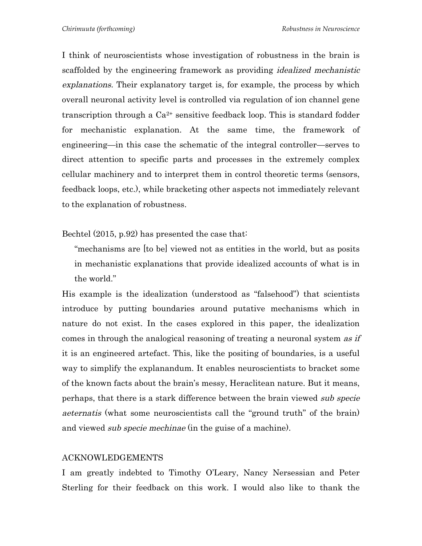I think of neuroscientists whose investigation of robustness in the brain is scaffolded by the engineering framework as providing idealized mechanistic explanations. Their explanatory target is, for example, the process by which overall neuronal activity level is controlled via regulation of ion channel gene transcription through a  $Ca^{2+}$  sensitive feedback loop. This is standard fodder for mechanistic explanation. At the same time, the framework of engineering—in this case the schematic of the integral controller—serves to direct attention to specific parts and processes in the extremely complex cellular machinery and to interpret them in control theoretic terms (sensors, feedback loops, etc.), while bracketing other aspects not immediately relevant to the explanation of robustness.

Bechtel (2015, p.92) has presented the case that:

"mechanisms are [to be] viewed not as entities in the world, but as posits in mechanistic explanations that provide idealized accounts of what is in the world."

His example is the idealization (understood as "falsehood") that scientists introduce by putting boundaries around putative mechanisms which in nature do not exist. In the cases explored in this paper, the idealization comes in through the analogical reasoning of treating a neuronal system as if it is an engineered artefact. This, like the positing of boundaries, is a useful way to simplify the explanandum. It enables neuroscientists to bracket some of the known facts about the brain's messy, Heraclitean nature. But it means, perhaps, that there is a stark difference between the brain viewed sub specie aeternatis (what some neuroscientists call the "ground truth" of the brain) and viewed *sub specie mechinae* (in the guise of a machine).

#### ACKNOWLEDGEMENTS

I am greatly indebted to Timothy O'Leary, Nancy Nersessian and Peter Sterling for their feedback on this work. I would also like to thank the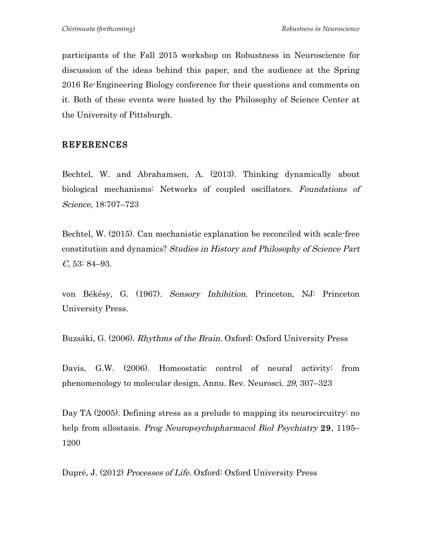participants of the Fall 2015 workshop on Robustness in Neuroscience for discussion of the ideas behind this paper, and the audience at the Spring 2016 Re-Engineering Biology conference for their questions and comments on it. Both of these events were hosted by the Philosophy of Science Center at the University of Pittsburgh.

# REFERENCES

Bechtel, W. and Abrahamsen, A. (2013). Thinking dynamically about biological mechanisms: Networks of coupled oscillators. Foundations of Science, 18:707–723

Bechtel, W. (2015). Can mechanistic explanation be reconciled with scale-free constitution and dynamics? Studies in History and Philosophy of Science Part C, 53: 84–93.

von Békésy, G. (1967). Sensory Inhibition. Princeton, NJ: Princeton University Press.

Buzsáki, G. (2006). Rhythms of the Brain. Oxford: Oxford University Press

Davis, G.W. (2006). Homeostatic control of neural activity: from phenomenology to molecular design. Annu. Rev. Neurosci. 29, 307–323

Day TA (2005). Defining stress as a prelude to mapping its neurocircuitry: no help from allostasis. *Prog Neuropsychopharmacol Biol Psychiatry* 29, 1195– 1200

Dupré, J. (2012) Processes of Life. Oxford: Oxford University Press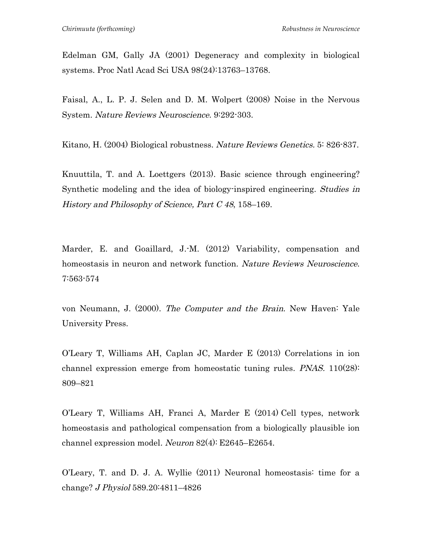Edelman GM, Gally JA (2001) Degeneracy and complexity in biological systems. Proc Natl Acad Sci USA 98(24):13763–13768.

Faisal, A., L. P. J. Selen and D. M. Wolpert (2008) Noise in the Nervous System. Nature Reviews Neuroscience. 9:292-303.

Kitano, H. (2004) Biological robustness. Nature Reviews Genetics. 5: 826-837.

Knuuttila, T. and A. Loettgers (2013). Basic science through engineering? Synthetic modeling and the idea of biology-inspired engineering. Studies in History and Philosophy of Science, Part C 48, 158–169.

Marder, E. and Goaillard, J.-M. (2012) Variability, compensation and homeostasis in neuron and network function. Nature Reviews Neuroscience. 7:563-574

von Neumann, J. (2000). The Computer and the Brain. New Haven: Yale University Press.

O'Leary T, Williams AH, Caplan JC, Marder E (2013) Correlations in ion channel expression emerge from homeostatic tuning rules. PNAS. 110(28): 809–821

O'Leary T, Williams AH, Franci A, Marder E (2014) Cell types, network homeostasis and pathological compensation from a biologically plausible ion channel expression model. Neuron  $82(4)$ : E2645–E2654.

O'Leary, T. and D. J. A. Wyllie (2011) Neuronal homeostasis: time for a change? J Physiol 589.20:4811–4826